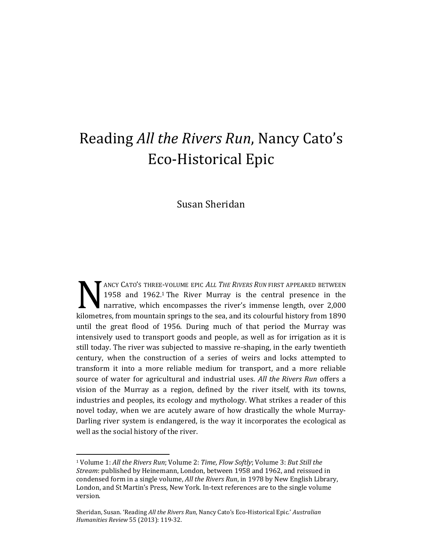## Reading *All the Rivers Run*, Nancy Cato's Eco-Historical Epic

## Susan Sheridan

ANCY CATO'S THREE-VOLUME EPIC *ALL THE RIVERS RUN* FIRST APPEARED BETWEEN 1958 and 1962.<sup>1</sup> The River Murray is the central presence in the narrative, which encompasses the river's immense length, over 2,000 ANCY CATO'S THREE-VOLUME EPIC ALL THE RIVERS RUN FIRST APPEARED BETWEEN 1958 and 1962.<sup>1</sup> The River Murray is the central presence in the narrative, which encompasses the river's immense length, over 2,000 kilometres, from until the great flood of 1956. During much of that period the Murray was intensively used to transport goods and people, as well as for irrigation as it is still today. The river was subjected to massive re-shaping, in the early twentieth century, when the construction of a series of weirs and locks attempted to transform it into a more reliable medium for transport, and a more reliable source of water for agricultural and industrial uses. *All the Rivers Run* offers a vision of the Murray as a region, defined by the river itself, with its towns, industries and peoples, its ecology and mythology. What strikes a reader of this novel today, when we are acutely aware of how drastically the whole Murray-Darling river system is endangered, is the way it incorporates the ecological as well as the social history of the river.

<sup>1</sup> Volume 1: *All the Rivers Run*; Volume 2: *Time, Flow Softly*; Volume 3: *But Still the Stream*: published by Heinemann, London, between 1958 and 1962, and reissued in condensed form in a single volume, *All the Rivers Run*, in 1978 by New English Library, London, and St Martin's Press, New York. In-text references are to the single volume version.

Sheridan, Susan. 'Reading *All the Rivers Run*, Nancy Cato's Eco-Historical Epic.' *Australian Humanities Review* 55 (2013): 119-32.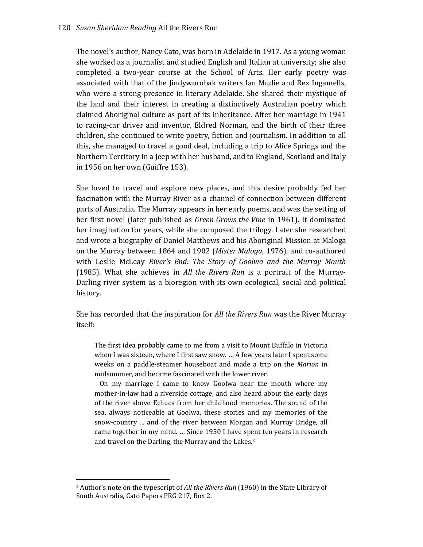The novel's author, Nancy Cato, was born in Adelaide in 1917. As a young woman she worked as a journalist and studied English and Italian at university; she also completed a two-year course at the School of Arts. Her early poetry was associated with that of the Jindyworobak writers Ian Mudie and Rex Ingamells, who were a strong presence in literary Adelaide. She shared their mystique of the land and their interest in creating a distinctively Australian poetry which claimed Aboriginal culture as part of its inheritance. After her marriage in 1941 to racing-car driver and inventor, Eldred Norman, and the birth of their three children, she continued to write poetry, fiction and journalism. In addition to all this, she managed to travel a good deal, including a trip to Alice Springs and the Northern Territory in a jeep with her husband, and to England, Scotland and Italy in 1956 on her own (Guiffre 153).

She loved to travel and explore new places, and this desire probably fed her fascination with the Murray River as a channel of connection between different parts of Australia. The Murray appears in her early poems, and was the setting of her first novel (later published as *Green Grows the Vine* in 1961). It dominated her imagination for years, while she composed the trilogy. Later she researched and wrote a biography of Daniel Matthews and his Aboriginal Mission at Maloga on the Murray between 1864 and 1902 (*Mister Maloga*, 1976), and co-authored with Leslie McLeay *River's End: The Story of Goolwa and the Murray Mouth* (1985). What she achieves in *All the Rivers Run* is a portrait of the Murray-Darling river system as a bioregion with its own ecological, social and political history.

She has recorded that the inspiration for *All the Rivers Run* was the River Murray itself:

The first idea probably came to me from a visit to Mount Buffalo in Victoria when I was sixteen, where I first saw snow. … A few years later I spent some weeks on a paddle-steamer houseboat and made a trip on the *Marion* in midsummer, and became fascinated with the lower river.

 On my marriage I came to know Goolwa near the mouth where my mother-in-law had a riverside cottage, and also heard about the early days of the river above Echuca from her childhood memories. The sound of the sea, always noticeable at Goolwa, these stories and my memories of the snow-country ... and of the river between Morgan and Murray Bridge, all came together in my mind. … Since 1950 I have spent ten years in research and travel on the Darling, the Murray and the Lakes. 2

<sup>2</sup> Author's note on the typescript of *All the Rivers Run* (1960) in the State Library of South Australia, Cato Papers PRG 217, Box 2.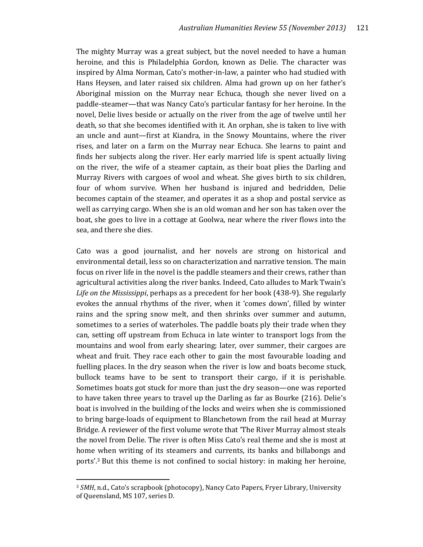The mighty Murray was a great subject, but the novel needed to have a human heroine, and this is Philadelphia Gordon, known as Delie. The character was inspired by Alma Norman, Cato's mother-in-law, a painter who had studied with Hans Heysen, and later raised six children. Alma had grown up on her father's Aboriginal mission on the Murray near Echuca, though she never lived on a paddle-steamer—that was Nancy Cato's particular fantasy for her heroine. In the novel, Delie lives beside or actually on the river from the age of twelve until her death, so that she becomes identified with it. An orphan, she is taken to live with an uncle and aunt—first at Kiandra, in the Snowy Mountains, where the river rises, and later on a farm on the Murray near Echuca. She learns to paint and finds her subjects along the river. Her early married life is spent actually living on the river, the wife of a steamer captain, as their boat plies the Darling and Murray Rivers with cargoes of wool and wheat. She gives birth to six children, four of whom survive. When her husband is injured and bedridden, Delie becomes captain of the steamer, and operates it as a shop and postal service as well as carrying cargo. When she is an old woman and her son has taken over the boat, she goes to live in a cottage at Goolwa, near where the river flows into the sea, and there she dies.

Cato was a good journalist, and her novels are strong on historical and environmental detail, less so on characterization and narrative tension. The main focus on river life in the novel is the paddle steamers and their crews, rather than agricultural activities along the river banks. Indeed, Cato alludes to Mark Twain's *Life on the Mississippi*, perhaps as a precedent for her book (438-9). She regularly evokes the annual rhythms of the river, when it 'comes down', filled by winter rains and the spring snow melt, and then shrinks over summer and autumn, sometimes to a series of waterholes. The paddle boats ply their trade when they can, setting off upstream from Echuca in late winter to transport logs from the mountains and wool from early shearing; later, over summer, their cargoes are wheat and fruit. They race each other to gain the most favourable loading and fuelling places. In the dry season when the river is low and boats become stuck, bullock teams have to be sent to transport their cargo, if it is perishable. Sometimes boats got stuck for more than just the dry season—one was reported to have taken three years to travel up the Darling as far as Bourke (216). Delie's boat is involved in the building of the locks and weirs when she is commissioned to bring barge-loads of equipment to Blanchetown from the rail head at Murray Bridge. A reviewer of the first volume wrote that 'The River Murray almost steals the novel from Delie. The river is often Miss Cato's real theme and she is most at home when writing of its steamers and currents, its banks and billabongs and ports'.<sup>3</sup> But this theme is not confined to social history: in making her heroine,

<sup>3</sup> *SMH*, n.d., Cato's scrapbook (photocopy), Nancy Cato Papers, Fryer Library, University of Queensland, MS 107, series D.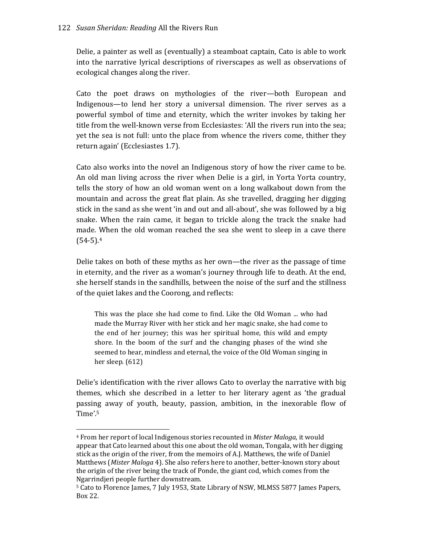Delie, a painter as well as (eventually) a steamboat captain, Cato is able to work into the narrative lyrical descriptions of riverscapes as well as observations of ecological changes along the river.

Cato the poet draws on mythologies of the river—both European and Indigenous—to lend her story a universal dimension. The river serves as a powerful symbol of time and eternity, which the writer invokes by taking her title from the well-known verse from Ecclesiastes: 'All the rivers run into the sea; yet the sea is not full: unto the place from whence the rivers come, thither they return again' (Ecclesiastes 1.7).

Cato also works into the novel an Indigenous story of how the river came to be. An old man living across the river when Delie is a girl, in Yorta Yorta country, tells the story of how an old woman went on a long walkabout down from the mountain and across the great flat plain. As she travelled, dragging her digging stick in the sand as she went 'in and out and all-about', she was followed by a big snake. When the rain came, it began to trickle along the track the snake had made. When the old woman reached the sea she went to sleep in a cave there  $(54-5).4$ 

Delie takes on both of these myths as her own—the river as the passage of time in eternity, and the river as a woman's journey through life to death. At the end, she herself stands in the sandhills, between the noise of the surf and the stillness of the quiet lakes and the Coorong, and reflects:

This was the place she had come to find. Like the Old Woman ... who had made the Murray River with her stick and her magic snake, she had come to the end of her journey; this was her spiritual home, this wild and empty shore. In the boom of the surf and the changing phases of the wind she seemed to hear, mindless and eternal, the voice of the Old Woman singing in her sleep. (612)

Delie's identification with the river allows Cato to overlay the narrative with big themes, which she described in a letter to her literary agent as 'the gradual passing away of youth, beauty, passion, ambition, in the inexorable flow of Time'.<sup>5</sup>

<sup>4</sup> From her report of local Indigenous stories recounted in *Mister Maloga*, it would appear that Cato learned about this one about the old woman, Tongala, with her digging stick as the origin of the river, from the memoirs of A.J. Matthews, the wife of Daniel Matthews (*Mister Maloga* 4). She also refers here to another, better-known story about the origin of the river being the track of Ponde, the giant cod, which comes from the Ngarrindjeri people further downstream.

<sup>&</sup>lt;sup>5</sup> Cato to Florence James, 7 July 1953, State Library of NSW, MLMSS 5877 James Papers, Box 22.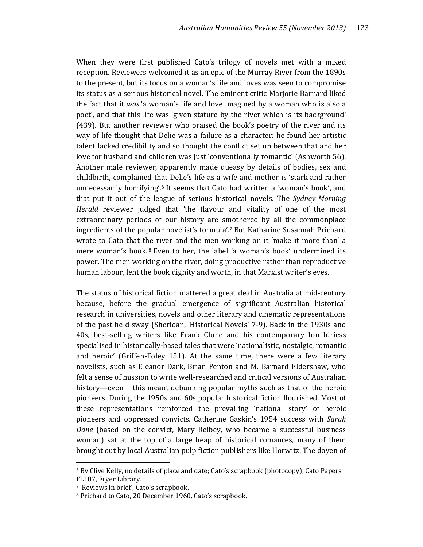When they were first published Cato's trilogy of novels met with a mixed reception. Reviewers welcomed it as an epic of the Murray River from the 1890s to the present, but its focus on a woman's life and loves was seen to compromise its status as a serious historical novel. The eminent critic Marjorie Barnard liked the fact that it *was* 'a woman's life and love imagined by a woman who is also a poet', and that this life was 'given stature by the river which is its background' (439). But another reviewer who praised the book's poetry of the river and its way of life thought that Delie was a failure as a character: he found her artistic talent lacked credibility and so thought the conflict set up between that and her love for husband and children was just 'conventionally romantic' (Ashworth 56). Another male reviewer, apparently made queasy by details of bodies, sex and childbirth, complained that Delie's life as a wife and mother is 'stark and rather unnecessarily horrifying'.6 It seems that Cato had written a 'woman's book', and that put it out of the league of serious historical novels. The *Sydney Morning Herald* reviewer judged that 'the flavour and vitality of one of the most extraordinary periods of our history are smothered by all the commonplace ingredients of the popular novelist's formula'.<sup>7</sup> But Katharine Susannah Prichard wrote to Cato that the river and the men working on it 'make it more than' a mere woman's book. $8$  Even to her, the label 'a woman's book' undermined its power. The men working on the river, doing productive rather than reproductive human labour, lent the book dignity and worth, in that Marxist writer's eyes.

The status of historical fiction mattered a great deal in Australia at mid-century because, before the gradual emergence of significant Australian historical research in universities, novels and other literary and cinematic representations of the past held sway (Sheridan, 'Historical Novels' 7-9). Back in the 1930s and 40s, best-selling writers like Frank Clune and his contemporary Ion Idriess specialised in historically-based tales that were 'nationalistic, nostalgic, romantic and heroic' (Griffen-Foley 151). At the same time, there were a few literary novelists, such as Eleanor Dark, Brian Penton and M. Barnard Eldershaw, who felt a sense of mission to write well-researched and critical versions of Australian history—even if this meant debunking popular myths such as that of the heroic pioneers. During the 1950s and 60s popular historical fiction flourished. Most of these representations reinforced the prevailing 'national story' of heroic pioneers and oppressed convicts. Catherine Gaskin's 1954 success with *Sarah Dane* (based on the convict, Mary Reibey, who became a successful business woman) sat at the top of a large heap of historical romances, many of them brought out by local Australian pulp fiction publishers like Horwitz. The doyen of

<sup>6</sup> By Clive Kelly, no details of place and date; Cato's scrapbook (photocopy), Cato Papers FL107, Fryer Library.

<sup>7</sup> 'Reviews in brief', Cato's scrapbook.

<sup>8</sup> Prichard to Cato, 20 December 1960, Cato's scrapbook.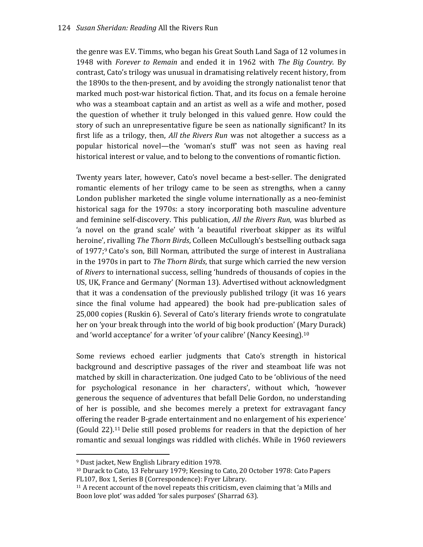the genre was E.V. Timms, who began his Great South Land Saga of 12 volumes in 1948 with *Forever to Remain* and ended it in 1962 with *The Big Country*. By contrast, Cato's trilogy was unusual in dramatising relatively recent history, from the 1890s to the then-present, and by avoiding the strongly nationalist tenor that marked much post-war historical fiction. That, and its focus on a female heroine who was a steamboat captain and an artist as well as a wife and mother, posed the question of whether it truly belonged in this valued genre. How could the story of such an unrepresentative figure be seen as nationally significant? In its first life as a trilogy, then, *All the Rivers Run* was not altogether a success as a popular historical novel—the 'woman's stuff' was not seen as having real historical interest or value, and to belong to the conventions of romantic fiction.

Twenty years later, however, Cato's novel became a best-seller. The denigrated romantic elements of her trilogy came to be seen as strengths, when a canny London publisher marketed the single volume internationally as a neo-feminist historical saga for the 1970s: a story incorporating both masculine adventure and feminine self-discovery. This publication, *All the Rivers Run*, was blurbed as 'a novel on the grand scale' with 'a beautiful riverboat skipper as its wilful heroine', rivalling *The Thorn Birds*, Colleen McCullough's bestselling outback saga of 1977;<sup>9</sup> Cato's son, Bill Norman, attributed the surge of interest in Australiana in the 1970s in part to *The Thorn Birds*, that surge which carried the new version of *Rivers* to international success, selling 'hundreds of thousands of copies in the US, UK, France and Germany' (Norman 13). Advertised without acknowledgment that it was a condensation of the previously published trilogy (it was 16 years since the final volume had appeared) the book had pre-publication sales of 25,000 copies (Ruskin 6). Several of Cato's literary friends wrote to congratulate her on 'your break through into the world of big book production' (Mary Durack) and 'world acceptance' for a writer 'of your calibre' (Nancy Keesing).<sup>10</sup>

Some reviews echoed earlier judgments that Cato's strength in historical background and descriptive passages of the river and steamboat life was not matched by skill in characterization. One judged Cato to be 'oblivious of the need for psychological resonance in her characters', without which, 'however generous the sequence of adventures that befall Delie Gordon, no understanding of her is possible, and she becomes merely a pretext for extravagant fancy offering the reader B-grade entertainment and no enlargement of his experience' (Gould 22).11 Delie still posed problems for readers in that the depiction of her romantic and sexual longings was riddled with clichés. While in 1960 reviewers

<sup>9</sup> Dust jacket, New English Library edition 1978.

<sup>10</sup> Durack to Cato, 13 February 1979; Keesing to Cato, 20 October 1978: Cato Papers FL107, Box 1, Series B (Correspondence): Fryer Library.

<sup>11</sup> A recent account of the novel repeats this criticism, even claiming that 'a Mills and Boon love plot' was added 'for sales purposes' (Sharrad 63).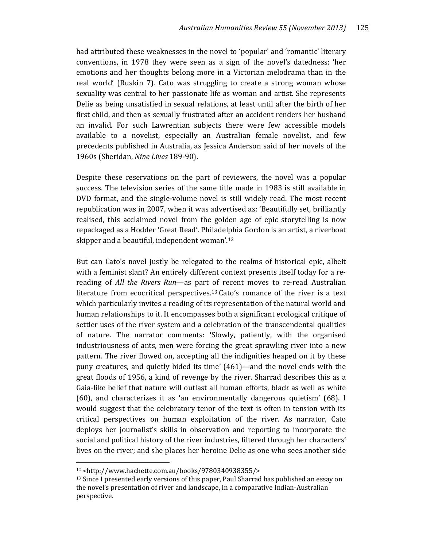had attributed these weaknesses in the novel to 'popular' and 'romantic' literary conventions, in 1978 they were seen as a sign of the novel's datedness: 'her emotions and her thoughts belong more in a Victorian melodrama than in the real world' (Ruskin 7). Cato was struggling to create a strong woman whose sexuality was central to her passionate life as woman and artist. She represents Delie as being unsatisfied in sexual relations, at least until after the birth of her first child, and then as sexually frustrated after an accident renders her husband an invalid. For such Lawrentian subjects there were few accessible models available to a novelist, especially an Australian female novelist, and few precedents published in Australia, as Jessica Anderson said of her novels of the 1960s (Sheridan, *Nine Lives* 189-90).

Despite these reservations on the part of reviewers, the novel was a popular success. The television series of the same title made in 1983 is still available in DVD format, and the single-volume novel is still widely read. The most recent republication was in 2007, when it was advertised as: 'Beautifully set, brilliantly realised, this acclaimed novel from the golden age of epic storytelling is now repackaged as a Hodder 'Great Read'. Philadelphia Gordon is an artist, a riverboat skipper and a beautiful, independent woman'.<sup>12</sup>

But can Cato's novel justly be relegated to the realms of historical epic, albeit with a feminist slant? An entirely different context presents itself today for a rereading of *All the Rivers Run*—as part of recent moves to re-read Australian literature from ecocritical perspectives.13 Cato's romance of the river is a text which particularly invites a reading of its representation of the natural world and human relationships to it. It encompasses both a significant ecological critique of settler uses of the river system and a celebration of the transcendental qualities of nature. The narrator comments: 'Slowly, patiently, with the organised industriousness of ants, men were forcing the great sprawling river into a new pattern. The river flowed on, accepting all the indignities heaped on it by these puny creatures, and quietly bided its time' (461)—and the novel ends with the great floods of 1956, a kind of revenge by the river. Sharrad describes this as a Gaia-like belief that nature will outlast all human efforts, black as well as white (60), and characterizes it as 'an environmentally dangerous quietism' (68). I would suggest that the celebratory tenor of the text is often in tension with its critical perspectives on human exploitation of the river. As narrator, Cato deploys her journalist's skills in observation and reporting to incorporate the social and political history of the river industries, filtered through her characters' lives on the river; and she places her heroine Delie as one who sees another side

<sup>12</sup> <http://www.hachette.com.au/books/9780340938355/>

<sup>&</sup>lt;sup>13</sup> Since I presented early versions of this paper, Paul Sharrad has published an essay on the novel's presentation of river and landscape, in a comparative Indian-Australian perspective.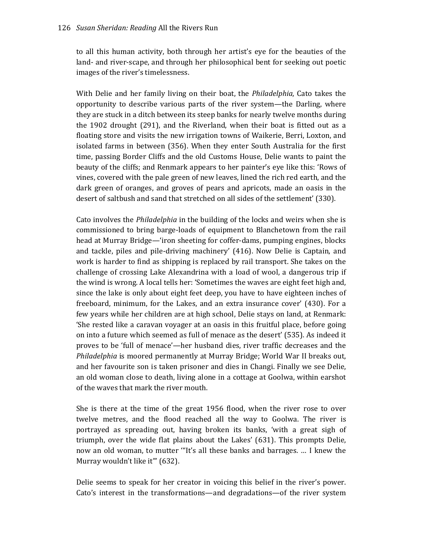to all this human activity, both through her artist's eye for the beauties of the land- and river-scape, and through her philosophical bent for seeking out poetic images of the river's timelessness.

With Delie and her family living on their boat, the *Philadelphia*, Cato takes the opportunity to describe various parts of the river system—the Darling, where they are stuck in a ditch between its steep banks for nearly twelve months during the 1902 drought (291), and the Riverland, when their boat is fitted out as a floating store and visits the new irrigation towns of Waikerie, Berri, Loxton, and isolated farms in between (356). When they enter South Australia for the first time, passing Border Cliffs and the old Customs House, Delie wants to paint the beauty of the cliffs; and Renmark appears to her painter's eye like this: 'Rows of vines, covered with the pale green of new leaves, lined the rich red earth, and the dark green of oranges, and groves of pears and apricots, made an oasis in the desert of saltbush and sand that stretched on all sides of the settlement' (330).

Cato involves the *Philadelphia* in the building of the locks and weirs when she is commissioned to bring barge-loads of equipment to Blanchetown from the rail head at Murray Bridge—'iron sheeting for coffer-dams, pumping engines, blocks and tackle, piles and pile-driving machinery' (416). Now Delie is Captain, and work is harder to find as shipping is replaced by rail transport. She takes on the challenge of crossing Lake Alexandrina with a load of wool, a dangerous trip if the wind is wrong. A local tells her: 'Sometimes the waves are eight feet high and, since the lake is only about eight feet deep, you have to have eighteen inches of freeboard, minimum, for the Lakes, and an extra insurance cover' (430). For a few years while her children are at high school, Delie stays on land, at Renmark: 'She rested like a caravan voyager at an oasis in this fruitful place, before going on into a future which seemed as full of menace as the desert' (535). As indeed it proves to be 'full of menace'—her husband dies, river traffic decreases and the *Philadelphia* is moored permanently at Murray Bridge; World War II breaks out, and her favourite son is taken prisoner and dies in Changi. Finally we see Delie, an old woman close to death, living alone in a cottage at Goolwa, within earshot of the waves that mark the river mouth.

She is there at the time of the great 1956 flood, when the river rose to over twelve metres, and the flood reached all the way to Goolwa. The river is portrayed as spreading out, having broken its banks, 'with a great sigh of triumph, over the wide flat plains about the Lakes' (631). This prompts Delie, now an old woman, to mutter '"It's all these banks and barrages. … I knew the Murray wouldn't like it"' (632).

Delie seems to speak for her creator in voicing this belief in the river's power. Cato's interest in the transformations—and degradations—of the river system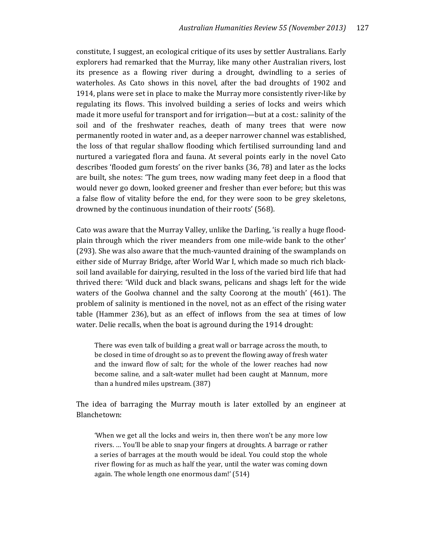constitute, I suggest, an ecological critique of its uses by settler Australians. Early explorers had remarked that the Murray, like many other Australian rivers, lost its presence as a flowing river during a drought, dwindling to a series of waterholes. As Cato shows in this novel, after the bad droughts of 1902 and 1914, plans were set in place to make the Murray more consistently river-like by regulating its flows. This involved building a series of locks and weirs which made it more useful for transport and for irrigation—but at a cost.: salinity of the soil and of the freshwater reaches, death of many trees that were now permanently rooted in water and, as a deeper narrower channel was established, the loss of that regular shallow flooding which fertilised surrounding land and nurtured a variegated flora and fauna. At several points early in the novel Cato describes 'flooded gum forests' on the river banks (36, 78) and later as the locks are built, she notes: 'The gum trees, now wading many feet deep in a flood that would never go down, looked greener and fresher than ever before; but this was a false flow of vitality before the end, for they were soon to be grey skeletons, drowned by the continuous inundation of their roots' (568).

Cato was aware that the Murray Valley, unlike the Darling, 'is really a huge floodplain through which the river meanders from one mile-wide bank to the other' (293). She was also aware that the much-vaunted draining of the swamplands on either side of Murray Bridge, after World War I, which made so much rich blacksoil land available for dairying, resulted in the loss of the varied bird life that had thrived there: 'Wild duck and black swans, pelicans and shags left for the wide waters of the Goolwa channel and the salty Coorong at the mouth' (461). The problem of salinity is mentioned in the novel, not as an effect of the rising water table (Hammer 236), but as an effect of inflows from the sea at times of low water. Delie recalls, when the boat is aground during the 1914 drought:

There was even talk of building a great wall or barrage across the mouth, to be closed in time of drought so as to prevent the flowing away of fresh water and the inward flow of salt; for the whole of the lower reaches had now become saline, and a salt-water mullet had been caught at Mannum, more than a hundred miles upstream. (387)

The idea of barraging the Murray mouth is later extolled by an engineer at Blanchetown:

'When we get all the locks and weirs in, then there won't be any more low rivers. … You'll be able to snap your fingers at droughts. A barrage or rather a series of barrages at the mouth would be ideal. You could stop the whole river flowing for as much as half the year, until the water was coming down again. The whole length one enormous dam!' (514)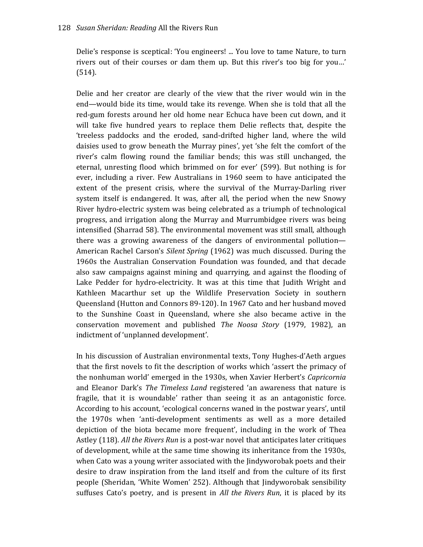Delie's response is sceptical: 'You engineers! ... You love to tame Nature, to turn rivers out of their courses or dam them up. But this river's too big for you…' (514).

Delie and her creator are clearly of the view that the river would win in the end—would bide its time, would take its revenge. When she is told that all the red-gum forests around her old home near Echuca have been cut down, and it will take five hundred years to replace them Delie reflects that, despite the 'treeless paddocks and the eroded, sand-drifted higher land, where the wild daisies used to grow beneath the Murray pines', yet 'she felt the comfort of the river's calm flowing round the familiar bends; this was still unchanged, the eternal, unresting flood which brimmed on for ever' (599). But nothing is for ever, including a river. Few Australians in 1960 seem to have anticipated the extent of the present crisis, where the survival of the Murray-Darling river system itself is endangered. It was, after all, the period when the new Snowy River hydro-electric system was being celebrated as a triumph of technological progress, and irrigation along the Murray and Murrumbidgee rivers was being intensified (Sharrad 58). The environmental movement was still small, although there was a growing awareness of the dangers of environmental pollution— American Rachel Carson's *Silent Spring* (1962) was much discussed. During the 1960s the Australian Conservation Foundation was founded, and that decade also saw campaigns against mining and quarrying, and against the flooding of Lake Pedder for hydro-electricity. It was at this time that Judith Wright and Kathleen Macarthur set up the Wildlife Preservation Society in southern Queensland (Hutton and Connors 89-120). In 1967 Cato and her husband moved to the Sunshine Coast in Queensland, where she also became active in the conservation movement and published *The Noosa Story* (1979, 1982), an indictment of 'unplanned development'.

In his discussion of Australian environmental texts, Tony Hughes-d'Aeth argues that the first novels to fit the description of works which 'assert the primacy of the nonhuman world' emerged in the 1930s, when Xavier Herbert's *Capricornia* and Eleanor Dark's *The Timeless Land* registered 'an awareness that nature is fragile, that it is woundable' rather than seeing it as an antagonistic force. According to his account, 'ecological concerns waned in the postwar years', until the 1970s when 'anti-development sentiments as well as a more detailed depiction of the biota became more frequent', including in the work of Thea Astley (118). *All the Rivers Run* is a post-war novel that anticipates later critiques of development, while at the same time showing its inheritance from the 1930s, when Cato was a young writer associated with the Jindyworobak poets and their desire to draw inspiration from the land itself and from the culture of its first people (Sheridan, 'White Women' 252). Although that Jindyworobak sensibility suffuses Cato's poetry, and is present in *All the Rivers Run*, it is placed by its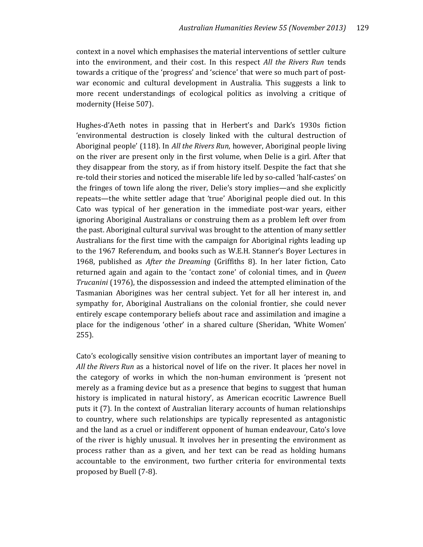context in a novel which emphasises the material interventions of settler culture into the environment, and their cost. In this respect *All the Rivers Run* tends towards a critique of the 'progress' and 'science' that were so much part of postwar economic and cultural development in Australia. This suggests a link to more recent understandings of ecological politics as involving a critique of modernity (Heise 507).

Hughes-d'Aeth notes in passing that in Herbert's and Dark's 1930s fiction 'environmental destruction is closely linked with the cultural destruction of Aboriginal people' (118). In *All the Rivers Run*, however, Aboriginal people living on the river are present only in the first volume, when Delie is a girl. After that they disappear from the story, as if from history itself. Despite the fact that she re-told their stories and noticed the miserable life led by so-called 'half-castes' on the fringes of town life along the river, Delie's story implies—and she explicitly repeats—the white settler adage that 'true' Aboriginal people died out. In this Cato was typical of her generation in the immediate post-war years, either ignoring Aboriginal Australians or construing them as a problem left over from the past. Aboriginal cultural survival was brought to the attention of many settler Australians for the first time with the campaign for Aboriginal rights leading up to the 1967 Referendum, and books such as W.E.H. Stanner's Boyer Lectures in 1968, published as *After the Dreaming* (Griffiths 8). In her later fiction, Cato returned again and again to the 'contact zone' of colonial times, and in *Queen Trucanini* (1976), the dispossession and indeed the attempted elimination of the Tasmanian Aborigines was her central subject. Yet for all her interest in, and sympathy for, Aboriginal Australians on the colonial frontier, she could never entirely escape contemporary beliefs about race and assimilation and imagine a place for the indigenous 'other' in a shared culture (Sheridan, 'White Women' 255).

Cato's ecologically sensitive vision contributes an important layer of meaning to *All the Rivers Run* as a historical novel of life on the river. It places her novel in the category of works in which the non-human environment is 'present not merely as a framing device but as a presence that begins to suggest that human history is implicated in natural history', as American ecocritic Lawrence Buell puts it (7). In the context of Australian literary accounts of human relationships to country, where such relationships are typically represented as antagonistic and the land as a cruel or indifferent opponent of human endeavour, Cato's love of the river is highly unusual. It involves her in presenting the environment as process rather than as a given, and her text can be read as holding humans accountable to the environment, two further criteria for environmental texts proposed by Buell (7-8).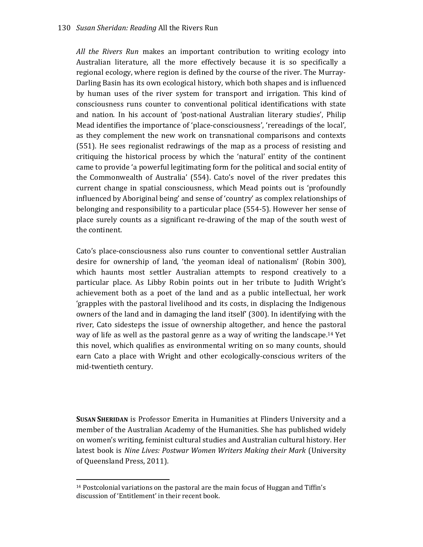*All the Rivers Run* makes an important contribution to writing ecology into Australian literature, all the more effectively because it is so specifically a regional ecology, where region is defined by the course of the river. The Murray-Darling Basin has its own ecological history, which both shapes and is influenced by human uses of the river system for transport and irrigation. This kind of consciousness runs counter to conventional political identifications with state and nation. In his account of 'post-national Australian literary studies', Philip Mead identifies the importance of 'place-consciousness', 'rereadings of the local', as they complement the new work on transnational comparisons and contexts (551). He sees regionalist redrawings of the map as a process of resisting and critiquing the historical process by which the 'natural' entity of the continent came to provide 'a powerful legitimating form for the political and social entity of the Commonwealth of Australia' (554). Cato's novel of the river predates this current change in spatial consciousness, which Mead points out is 'profoundly influenced by Aboriginal being' and sense of 'country' as complex relationships of belonging and responsibility to a particular place (554-5). However her sense of place surely counts as a significant re-drawing of the map of the south west of the continent.

Cato's place-consciousness also runs counter to conventional settler Australian desire for ownership of land, 'the yeoman ideal of nationalism' (Robin 300), which haunts most settler Australian attempts to respond creatively to a particular place. As Libby Robin points out in her tribute to Judith Wright's achievement both as a poet of the land and as a public intellectual, her work 'grapples with the pastoral livelihood and its costs, in displacing the Indigenous owners of the land and in damaging the land itself' (300). In identifying with the river, Cato sidesteps the issue of ownership altogether, and hence the pastoral way of life as well as the pastoral genre as a way of writing the landscape.<sup>14</sup> Yet this novel, which qualifies as environmental writing on so many counts, should earn Cato a place with Wright and other ecologically-conscious writers of the mid-twentieth century.

**SUSAN SHERIDAN** is Professor Emerita in Humanities at Flinders University and a member of the Australian Academy of the Humanities. She has published widely on women's writing, feminist cultural studies and Australian cultural history. Her latest book is *Nine Lives: Postwar Women Writers Making their Mark* (University of Queensland Press, 2011).

<sup>14</sup> Postcolonial variations on the pastoral are the main focus of Huggan and Tiffin's discussion of 'Entitlement' in their recent book.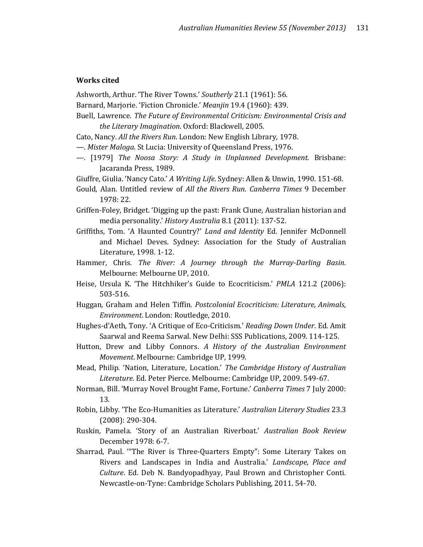## **Works cited**

- Ashworth, Arthur. 'The River Towns.' *Southerly* 21.1 (1961): 56.
- Barnard, Marjorie. 'Fiction Chronicle.' *Meanjin* 19.4 (1960): 439.
- Buell, Lawrence. *The Future of Environmental Criticism: Environmental Crisis and the Literary Imagination*. Oxford: Blackwell, 2005.
- Cato, Nancy. *All the Rivers Run*. London: New English Library, 1978.
- —. *Mister Maloga*. St Lucia: University of Queensland Press, 1976.
- —. [1979] *The Noosa Story: A Study in Unplanned Development*. Brisbane: Jacaranda Press, 1989.
- Giuffre, Giulia. 'Nancy Cato.' *A Writing Life*. Sydney: Allen & Unwin, 1990. 151-68.
- Gould, Alan. Untitled review of *All the Rivers Run*. *Canberra Times* 9 December 1978: 22.
- Griffen-Foley, Bridget. 'Digging up the past: Frank Clune, Australian historian and media personality.' *History Australia* 8.1 (2011): 137-52.
- Griffiths, Tom. 'A Haunted Country?' *Land and Identity* Ed. Jennifer McDonnell and Michael Deves. Sydney: Association for the Study of Australian Literature, 1998. 1-12.
- Hammer, Chris. *The River: A Journey through the Murray-Darling Basin*. Melbourne: Melbourne UP, 2010.
- Heise, Ursula K. 'The Hitchhiker's Guide to Ecocriticism.' *PMLA* 121.2 (2006): 503-516.
- Huggan, Graham and Helen Tiffin. *Postcolonial Ecocriticism: Literature, Animals, Environment*. London: Routledge, 2010.
- Hughes-d'Aeth, Tony. 'A Critique of Eco-Criticism.' *Reading Down Under*. Ed. Amit Saarwal and Reema Sarwal. New Delhi: SSS Publications, 2009. 114-125.
- Hutton, Drew and Libby Connors. *A History of the Australian Environment Movement*. Melbourne: Cambridge UP, 1999.
- Mead, Philip. 'Nation, Literature, Location.' *The Cambridge History of Australian Literature*. Ed. Peter Pierce. Melbourne: Cambridge UP, 2009. 549-67.
- Norman, Bill. 'Murray Novel Brought Fame, Fortune.' *Canberra Times* 7 July 2000: 13.
- Robin, Libby. 'The Eco-Humanities as Literature.' *Australian Literary Studies* 23.3 (2008): 290-304.
- Ruskin, Pamela. 'Story of an Australian Riverboat.' *Australian Book Review* December 1978: 6-7.
- Sharrad, Paul. '"The River is Three-Quarters Empty": Some Literary Takes on Rivers and Landscapes in India and Australia.' *Landscape, Place and Culture*. Ed. Deb N. Bandyopadhyay, Paul Brown and Christopher Conti. Newcastle-on-Tyne: Cambridge Scholars Publishing, 2011. 54-70.